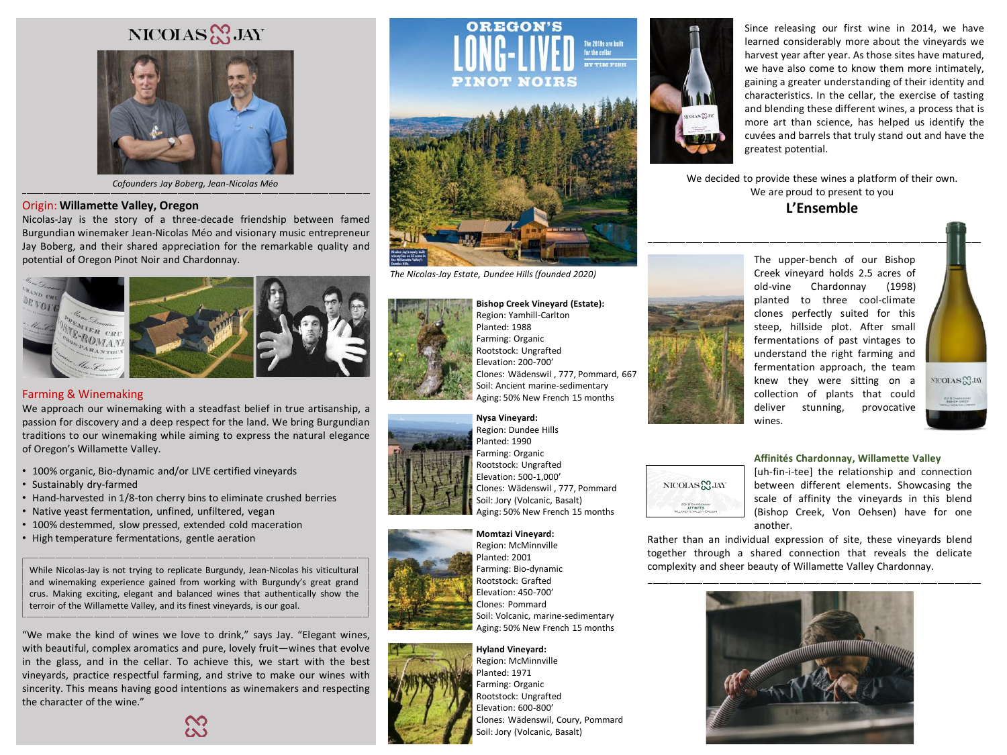# NICOLAS & JAY



*Cofounders Jay Boberg, Jean-Nicolas Méo*

### Origin: **Willamette Valley, Oregon**

Nicolas-Jay is the story of a three-decade friendship between famed Burgundian winemaker Jean-Nicolas Méo and visionary music entrepreneur Jay Boberg, and their shared appreciation for the remarkable quality and potential of Oregon Pinot Noir and Chardonnay.



## Farming & Winemaking

We approach our winemaking with a steadfast belief in true artisanship, a passion for discovery and a deep respect for the land. We bring Burgundian traditions to our winemaking while aiming to express the natural elegance of Oregon's Willamette Valley.

- 100% organic, Bio-dynamic and/or LIVE certified vineyards
- Sustainably dry-farmed
- Hand-harvested in 1/8-ton cherry bins to eliminate crushed berries
- Native yeast fermentation, unfined, unfiltered, vegan
- 100% destemmed, slow pressed, extended cold maceration
- High temperature fermentations, gentle aeration

While Nicolas-Jay is not trying to replicate Burgundy, Jean-Nicolas his viticultural and winemaking experience gained from working with Burgundy's great grand crus. Making exciting, elegant and balanced wines that authentically show the terroir of the Willamette Valley, and its finest vineyards, is our goal.

"We make the kind of wines we love to drink," says Jay. "Elegant wines, with beautiful, complex aromatics and pure, lovely fruit—wines that evolve in the glass, and in the cellar. To achieve this, we start with the best vineyards, practice respectful farming, and strive to make our wines with sincerity. This means having good intentions as winemakers and respecting the character of the wine."





*The Nicolas-Jay Estate, Dundee Hills (founded 2020)*



**Bishop Creek Vineyard (Estate):** Region: Yamhill-Carlton Planted: 1988 Farming: Organic Rootstock: Ungrafted Elevation: 200-700' Clones: Wädenswil , 777, Pommard, 667 Soil: Ancient marine-sedimentary Aging: 50% New French 15 months



**Nysa Vineyard:** Region: Dundee Hills Planted: 1990 Farming: Organic Rootstock: Ungrafted Elevation: 500-1,000' Clones: Wädenswil , 777, Pommard Soil: Jory (Volcanic, Basalt) Aging: 50% New French 15 months



**Momtazi Vineyard:** Region: McMinnville Planted: 2001 Farming: Bio-dynamic Rootstock: Grafted Elevation: 450-700' Clones: Pommard Soil: Volcanic, marine-sedimentary Aging: 50% New French 15 months



**Hyland Vineyard:** Region: McMinnville Planted: 1971 Farming: Organic Rootstock: Ungrafted Elevation: 600-800' Clones: Wädenswil, Coury, Pommard Soil: Jory (Volcanic, Basalt)



Since releasing our first wine in 2014, we have learned considerably more about the vineyards we harvest year after year. As those sites have matured, we have also come to know them more intimately, gaining a greater understanding of their identity and characteristics. In the cellar, the exercise of tasting and blending these different wines, a process that is more art than science, has helped us identify the cuvées and barrels that truly stand out and have the greatest potential.

We decided to provide these wines a platform of their own. We are proud to present to you

**L'Ensemble** 



The upper-bench of our Bishop Creek vineyard holds 2.5 acres of old-vine Chardonnay (1998) planted to three cool-climate clones perfectly suited for this steep, hillside plot. After small fermentations of past vintages to understand the right farming and fermentation approach, the team knew they were sitting on a collection of plants that could deliver stunning, provocative wines.



**Affinités Chardonnay, Willamette Valley** 

[uh-fin-i-tee] the relationship and connection between different elements. Showcasing the scale of affinity the vineyards in this blend (Bishop Creek, Von Oehsen) have for one another.

Rather than an individual expression of site, these vineyards blend together through a shared connection that reveals the delicate complexity and sheer beauty of Willamette Valley Chardonnay.